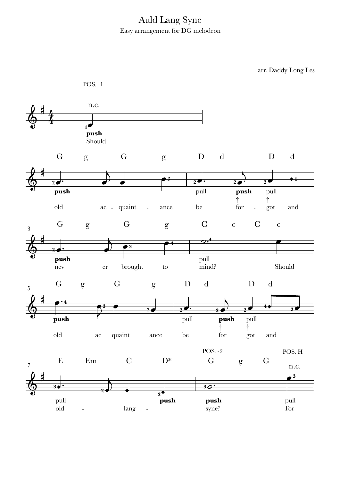## Auld Lang Syne Easy arrangement for DG melodeon